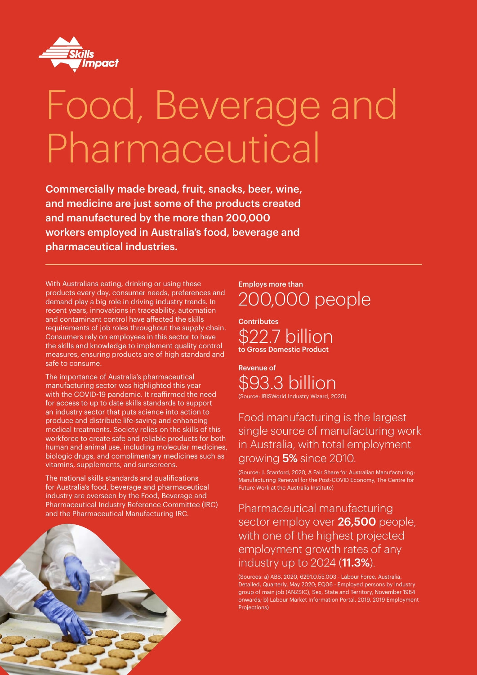

# Food, Beverage and Pharmaceutical

Commercially made bread, fruit, snacks, beer, wine, and medicine are just some of the products created and manufactured by the more than 200,000 workers employed in Australia's food, beverage and pharmaceutical industries.

With Australians eating, drinking or using these products every day, consumer needs, preferences and demand play a big role in driving industry trends. In recent years, innovations in traceability, automation and contaminant control have affected the skills requirements of job roles throughout the supply chain. Consumers rely on employees in this sector to have the skills and knowledge to implement quality control measures, ensuring products are of high standard and safe to consume.

The importance of Australia's pharmaceutical manufacturing sector was highlighted this year with the COVID-19 pandemic. It reaffirmed the need for access to up to date skills standards to support an industry sector that puts science into action to produce and distribute life-saving and enhancing medical treatments. Society relies on the skills of this workforce to create safe and reliable products for both human and animal use, including molecular medicines, biologic drugs, and complimentary medicines such as vitamins, supplements, and sunscreens.

The national skills standards and qualifications for Australia's food, beverage and pharmaceutical industry are overseen by the Food, Beverage and Pharmaceutical Industry Reference Committee (IRC) and the Pharmaceutical Manufacturing IRC.



Employs more than 200,000 people

**Contributes** \$22.7 billion to Gross Domestic Product

Revenue of \$93.3 billion (Source: IBISWorld Industry Wizard, 2020)

Food manufacturing is the largest single source of manufacturing work

in Australia, with total employment growing 5% since 2010.

(Source: J. Stanford, 2020, A Fair Share for Australian Manufacturing: Manufacturing Renewal for the Post-COVID Economy, The Centre for Future Work at the Australia Institute)

Pharmaceutical manufacturing sector employ over 26,500 people, with one of the highest projected employment growth rates of any industry up to 2024 (**11.3%**).

(Sources: a) ABS, 2020, 6291.0.55.003 - Labour Force, Australia, Detailed, Quarterly, May 2020; EQ06 - Employed persons by Industry group of main job (ANZSIC), Sex, State and Territory, November 1984 onwards; b) Labour Market Information Portal, 2019, 2019 Employment Projections)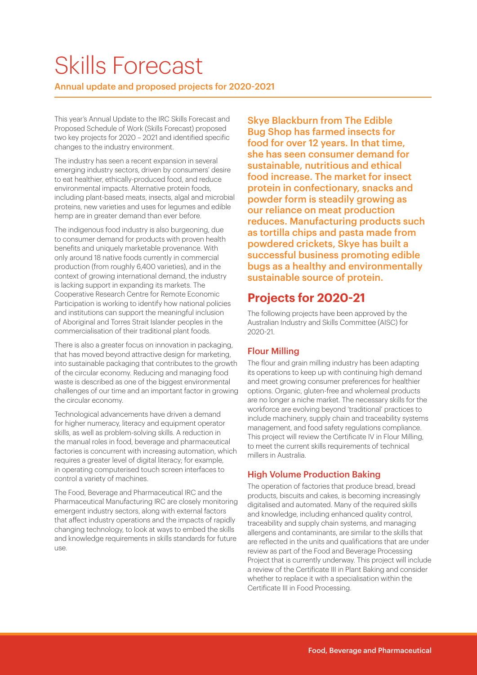# Skills Forecast

Annual update and proposed projects for 2020-2021

This year's Annual Update to the IRC Skills Forecast and Proposed Schedule of Work (Skills Forecast) proposed two key projects for 2020 – 2021 and identified specific changes to the industry environment.

The industry has seen a recent expansion in several emerging industry sectors, driven by consumers' desire to eat healthier, ethically-produced food, and reduce environmental impacts. Alternative protein foods, including plant-based meats, insects, algal and microbial proteins, new varieties and uses for legumes and edible hemp are in greater demand than ever before.

The indigenous food industry is also burgeoning, due to consumer demand for products with proven health benefits and uniquely marketable provenance. With only around 18 native foods currently in commercial production (from roughly 6,400 varieties), and in the context of growing international demand, the industry is lacking support in expanding its markets. The Cooperative Research Centre for Remote Economic Participation is working to identify how national policies and institutions can support the meaningful inclusion of Aboriginal and Torres Strait Islander peoples in the commercialisation of their traditional plant foods.

There is also a greater focus on innovation in packaging. that has moved beyond attractive design for marketing, into sustainable packaging that contributes to the growth of the circular economy. Reducing and managing food waste is described as one of the biggest environmental challenges of our time and an important factor in growing the circular economy.

Technological advancements have driven a demand for higher numeracy, literacy and equipment operator skills, as well as problem-solving skills. A reduction in the manual roles in food, beverage and pharmaceutical factories is concurrent with increasing automation, which requires a greater level of digital literacy; for example, in operating computerised touch screen interfaces to control a variety of machines.

The Food, Beverage and Pharmaceutical IRC and the Pharmaceutical Manufacturing IRC are closely monitoring emergent industry sectors, along with external factors that affect industry operations and the impacts of rapidly changing technology, to look at ways to embed the skills and knowledge requirements in skills standards for future use.

Skye Blackburn from The Edible Bug Shop has farmed insects for food for over 12 years. In that time, she has seen consumer demand for sustainable, nutritious and ethical food increase. The market for insect protein in confectionary, snacks and powder form is steadily growing as our reliance on meat production reduces. Manufacturing products such as tortilla chips and pasta made from powdered crickets, Skye has built a successful business promoting edible bugs as a healthy and environmentally sustainable source of protein.

### **Projects for 2020-21**

The following projects have been approved by the Australian Industry and Skills Committee (AISC) for 2020-21.

#### Flour Milling

The flour and grain milling industry has been adapting its operations to keep up with continuing high demand and meet growing consumer preferences for healthier options. Organic, gluten-free and wholemeal products are no longer a niche market. The necessary skills for the workforce are evolving beyond 'traditional' practices to include machinery, supply chain and traceability systems management, and food safety regulations compliance. This project will review the Certificate IV in Flour Milling, to meet the current skills requirements of technical millers in Australia.

#### High Volume Production Baking

The operation of factories that produce bread, bread products, biscuits and cakes, is becoming increasingly digitalised and automated. Many of the required skills and knowledge, including enhanced quality control, traceability and supply chain systems, and managing allergens and contaminants, are similar to the skills that are reflected in the units and qualifications that are under review as part of the Food and Beverage Processing Project that is currently underway. This project will include a review of the Certificate III in Plant Baking and consider whether to replace it with a specialisation within the Certificate III in Food Processing.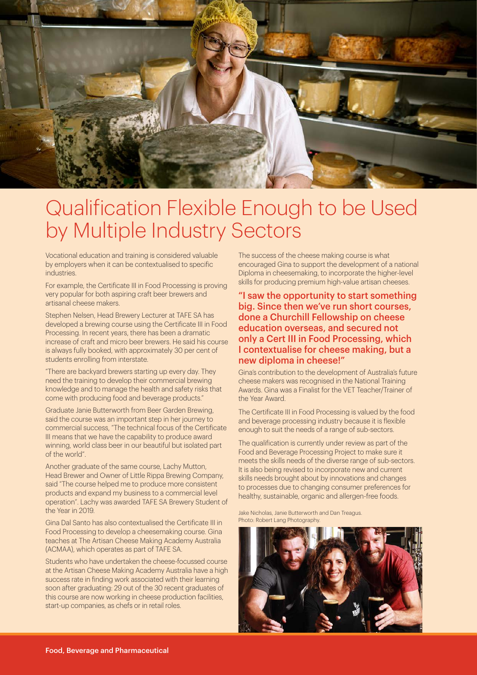

# Qualification Flexible Enough to be Used by Multiple Industry Sectors

Vocational education and training is considered valuable by employers when it can be contextualised to specific **industries** 

For example, the Certificate III in Food Processing is proving very popular for both aspiring craft beer brewers and artisanal cheese makers.

Stephen Nelsen, Head Brewery Lecturer at TAFE SA has developed a brewing course using the Certificate III in Food Processing. In recent years, there has been a dramatic increase of craft and micro beer brewers. He said his course is always fully booked, with approximately 30 per cent of students enrolling from interstate.

"There are backyard brewers starting up every day. They need the training to develop their commercial brewing knowledge and to manage the health and safety risks that come with producing food and beverage products."

Graduate Janie Butterworth from Beer Garden Brewing, said the course was an important step in her journey to commercial success, "The technical focus of the Certificate III means that we have the capability to produce award winning, world class beer in our beautiful but isolated part of the world".

Another graduate of the same course, Lachy Mutton, Head Brewer and Owner of Little Rippa Brewing Company, said "The course helped me to produce more consistent products and expand my business to a commercial level operation". Lachy was awarded TAFE SA Brewery Student of the Year in 2019.

Gina Dal Santo has also contextualised the Certificate III in Food Processing to develop a cheesemaking course. Gina teaches at The Artisan Cheese Making Academy Australia (ACMAA), which operates as part of TAFE SA.

Students who have undertaken the cheese-focussed course at the Artisan Cheese Making Academy Australia have a high success rate in finding work associated with their learning soon after graduating: 29 out of the 30 recent graduates of this course are now working in cheese production facilities, start-up companies, as chefs or in retail roles.

The success of the cheese making course is what encouraged Gina to support the development of a national Diploma in cheesemaking, to incorporate the higher-level skills for producing premium high-value artisan cheeses.

"I saw the opportunity to start something big. Since then we've run short courses, done a Churchill Fellowship on cheese education overseas, and secured not only a Cert III in Food Processing, which I contextualise for cheese making, but a new diploma in cheese!"

Gina's contribution to the development of Australia's future cheese makers was recognised in the National Training Awards. Gina was a Finalist for the VET Teacher/Trainer of the Year Award.

The Certificate III in Food Processing is valued by the food and beverage processing industry because it is flexible enough to suit the needs of a range of sub-sectors.

The qualification is currently under review as part of the Food and Beverage Processing Project to make sure it meets the skills needs of the diverse range of sub-sectors. It is also being revised to incorporate new and current skills needs brought about by innovations and changes to processes due to changing consumer preferences for healthy, sustainable, organic and allergen-free foods.

Jake Nicholas, Janie Butterworth and Dan Treagus. Photo: Robert Lang Photography.

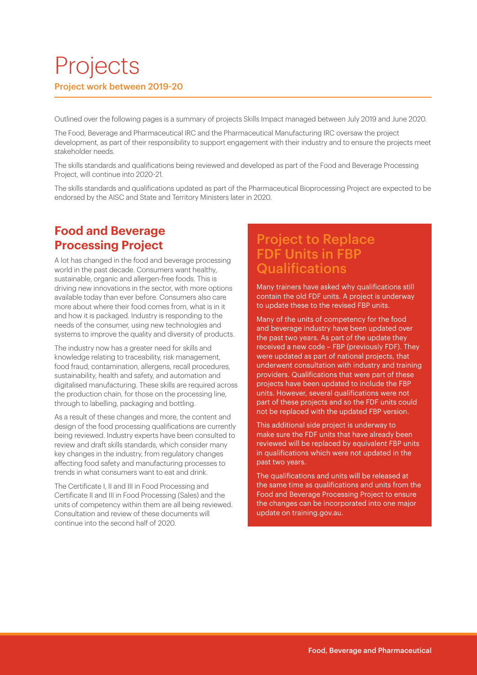# Projects Project work between 2019-20

Outlined over the following pages is a summary of projects Skills Impact managed between July 2019 and June 2020.

The Food, Beverage and Pharmaceutical IRC and the Pharmaceutical Manufacturing IRC oversaw the project development, as part of their responsibility to support engagement with their industry and to ensure the projects meet stakeholder needs.

The skills standards and qualifications being reviewed and developed as part of the Food and Beverage Processing Project, will continue into 2020-21.

The skills standards and qualifications updated as part of the Pharmaceutical Bioprocessing Project are expected to be endorsed by the AISC and State and Territory Ministers later in 2020.

#### **Food and Beverage Processing Project**

A lot has changed in the food and beverage processing world in the past decade. Consumers want healthy, sustainable, organic and allergen-free foods. This is driving new innovations in the sector, with more options available today than ever before. Consumers also care more about where their food comes from, what is in it and how it is packaged. Industry is responding to the needs of the consumer, using new technologies and systems to improve the quality and diversity of products.

The industry now has a greater need for skills and knowledge relating to traceability, risk management, food fraud, contamination, allergens, recall procedures, sustainability, health and safety, and automation and digitalised manufacturing. These skills are required across the production chain, for those on the processing line, through to labelling, packaging and bottling.

As a result of these changes and more, the content and design of the food processing qualifications are currently being reviewed. Industry experts have been consulted to review and draft skills standards, which consider many key changes in the industry, from regulatory changes affecting food safety and manufacturing processes to trends in what consumers want to eat and drink.

The Certificate I, II and III in Food Processing and Certificate II and III in Food Processing (Sales) and the units of competency within them are all being reviewed. Consultation and review of these documents will continue into the second half of 2020.

### Project to Replace FDF Units in FBP **Qualifications**

Many trainers have asked why qualifications still contain the old FDF units. A project is underway to update these to the revised FBP units.

Many of the units of competency for the food and beverage industry have been updated over the past two years. As part of the update they received a new code – FBP (previously FDF). They were updated as part of national projects, that underwent consultation with industry and training providers. Qualifications that were part of these projects have been updated to include the FBP units. However, several qualifications were not part of these projects and so the FDF units could not be replaced with the updated FBP version.

This additional side project is underway to make sure the FDF units that have already been reviewed will be replaced by equivalent FBP units in qualifications which were not updated in the past two years.

The qualifications and units will be released at the same time as qualifications and units from the Food and Beverage Processing Project to ensure the changes can be incorporated into one major update on training.gov.au.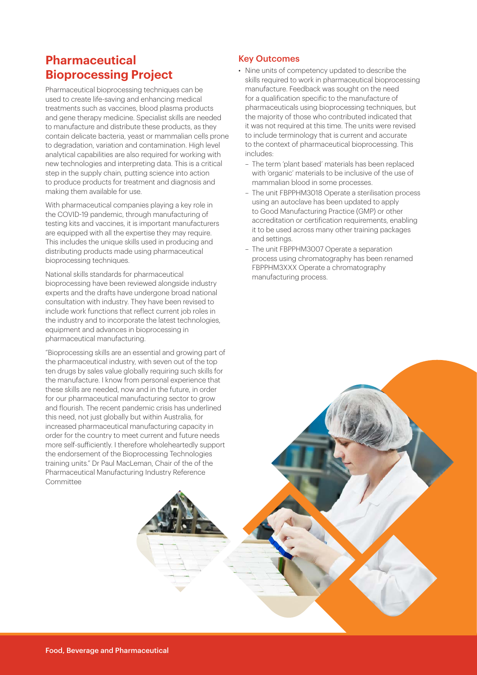#### **Pharmaceutical Bioprocessing Project**

Pharmaceutical bioprocessing techniques can be used to create life-saving and enhancing medical treatments such as vaccines, blood plasma products and gene therapy medicine. Specialist skills are needed to manufacture and distribute these products, as they contain delicate bacteria, yeast or mammalian cells prone to degradation, variation and contamination. High level analytical capabilities are also required for working with new technologies and interpreting data. This is a critical step in the supply chain, putting science into action to produce products for treatment and diagnosis and making them available for use.

With pharmaceutical companies playing a key role in the COVID-19 pandemic, through manufacturing of testing kits and vaccines, it is important manufacturers are equipped with all the expertise they may require. This includes the unique skills used in producing and distributing products made using pharmaceutical bioprocessing techniques.

National skills standards for pharmaceutical bioprocessing have been reviewed alongside industry experts and the drafts have undergone broad national consultation with industry. They have been revised to include work functions that reflect current job roles in the industry and to incorporate the latest technologies, equipment and advances in bioprocessing in pharmaceutical manufacturing.

"Bioprocessing skills are an essential and growing part of the pharmaceutical industry, with seven out of the top ten drugs by sales value globally requiring such skills for the manufacture. I know from personal experience that these skills are needed, now and in the future, in order for our pharmaceutical manufacturing sector to grow and flourish. The recent pandemic crisis has underlined this need, not just globally but within Australia, for increased pharmaceutical manufacturing capacity in order for the country to meet current and future needs more self-sufficiently. I therefore wholeheartedly support the endorsement of the Bioprocessing Technologies training units." Dr Paul MacLeman, Chair of the of the Pharmaceutical Manufacturing Industry Reference Committee

#### Key Outcomes

- Nine units of competency updated to describe the skills required to work in pharmaceutical bioprocessing manufacture. Feedback was sought on the need for a qualification specific to the manufacture of pharmaceuticals using bioprocessing techniques, but the majority of those who contributed indicated that it was not required at this time. The units were revised to include terminology that is current and accurate to the context of pharmaceutical bioprocessing. This includes:
	- The term 'plant based' materials has been replaced with 'organic' materials to be inclusive of the use of mammalian blood in some processes.
	- The unit FBPPHM3018 Operate a sterilisation process using an autoclave has been updated to apply to Good Manufacturing Practice (GMP) or other accreditation or certification requirements, enabling it to be used across many other training packages and settings.
	- The unit FBPPHM3007 Operate a separation process using chromatography has been renamed FBPPHM3XXX Operate a chromatography manufacturing process.